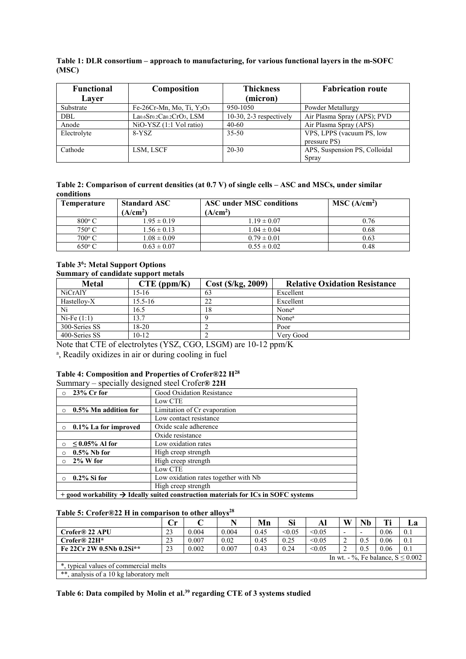## **Table 1: DLR consortium – approach to manufacturing, for various functional layers in the m-SOFC (MSC)**

| <b>Functional</b><br>Layer | Composition                  | <b>Thickness</b><br>(micron) | <b>Fabrication route</b>      |
|----------------------------|------------------------------|------------------------------|-------------------------------|
| Substrate                  | Fe-26Cr-Mn, Mo, Ti, $Y_2O_3$ | 950-1050                     | Powder Metallurgy             |
| DBL                        | $La0.6Sr0.2Ca0.2CrO3, LSM$   | $10-30$ , $2-3$ respectively | Air Plasma Spray (APS); PVD   |
| Anode                      | $NiO-YSZ$ (1:1 Vol ratio)    | 40-60                        | Air Plasma Spray (APS)        |
| Electrolyte                | 8-YSZ                        | $35 - 50$                    | VPS, LPPS (vacuum PS, low     |
|                            |                              |                              | pressure PS)                  |
| Cathode                    | LSM, LSCF                    | $20 - 30$                    | APS, Suspension PS, Colloidal |
|                            |                              |                              | Spray                         |

| Table 2: Comparison of current densities (at $0.7$ V) of single cells $-$ ASC and MSCs, under similar |  |
|-------------------------------------------------------------------------------------------------------|--|
| conditions                                                                                            |  |

| <b>Temperature</b> | <b>Standard ASC</b><br>(A/cm <sup>2</sup> ) | ASC under MSC conditions<br>(A/cm <sup>2</sup> ) | MSC (A/cm <sup>2</sup> ) |
|--------------------|---------------------------------------------|--------------------------------------------------|--------------------------|
| $800^{\circ}$ C    | $1.95 \pm 0.19$                             | $1.19 \pm 0.07$                                  | 0.76                     |
| $750^{\circ}$ C    | $1.56 \pm 0.13$                             | $1.04 \pm 0.04$                                  | 0.68                     |
| $700^{\circ}$ C    | $1.08 \pm 0.09$                             | $0.79 \pm 0.01$                                  | 0.63                     |
| $650^{\circ}$ C    | $0.63 \pm 0.07$                             | $0.55 \pm 0.02$                                  | 0.48                     |

## **Table 36 : Metal Support Options Summary of candidate support metals**

| <b>Metal</b>   | $CTE$ (ppm/K) | Cost (\$/kg, 2009) | <b>Relative Oxidation Resistance</b> |
|----------------|---------------|--------------------|--------------------------------------|
| <b>NiCrAIY</b> | 15-16         | 63                 | Excellent                            |
| Hastellov-X    | $15.5 - 16$   | 22                 | Excellent                            |
| Ni             | 16.5          | 18                 | None <sup>a</sup>                    |
| $Ni-Fe(1:1)$   | 13.7          |                    | None <sup>a</sup>                    |
| 300-Series SS  | $18-20$       |                    | Poor                                 |
| 400-Series SS  | $10 - 12$     |                    | Very Good                            |

Note that CTE of electrolytes (YSZ, CGO, LSGM) are 10-12 ppm/K<br><sup>a</sup> Readily oxidizes in air or during cooling in fuel

<sup>a</sup>, Readily oxidizes in air or during cooling in fuel

# **Table 4: Composition and Properties of Crofer®22 H28**

Summary – specially designed steel Crofer**® 22H**

|          | $23\%$ Cr for                                                                                  | Good Oxidation Resistance            |  |  |  |  |
|----------|------------------------------------------------------------------------------------------------|--------------------------------------|--|--|--|--|
|          |                                                                                                | Low CTE                              |  |  |  |  |
| $\Omega$ | 0.5% Mn addition for                                                                           | Limitation of Cr evaporation         |  |  |  |  |
|          |                                                                                                | Low contact resistance               |  |  |  |  |
| $\circ$  | 0.1% La for improved                                                                           | Oxide scale adherence                |  |  |  |  |
|          |                                                                                                | Oxide resistance                     |  |  |  |  |
| $\circ$  | $\leq 0.05\%$ Al for                                                                           | Low oxidation rates                  |  |  |  |  |
| $\Omega$ | $0.5\%$ Nb for                                                                                 | High creep strength                  |  |  |  |  |
| $\circ$  | $2\%$ W for                                                                                    | High creep strength                  |  |  |  |  |
|          |                                                                                                | Low CTE                              |  |  |  |  |
| $\Omega$ | $0.2\%$ Si for                                                                                 | Low oxidation rates together with Nb |  |  |  |  |
|          |                                                                                                | High creep strength                  |  |  |  |  |
|          | + good workability $\rightarrow$ Ideally suited construction materials for ICs in SOFC systems |                                      |  |  |  |  |

### Table 5: Crofer®22 H in comparison to other alloys<sup>28</sup>

|                                             | Сr |       |       | Mn   | Si     | Al     | W                        | Nb  |      | Lа  |
|---------------------------------------------|----|-------|-------|------|--------|--------|--------------------------|-----|------|-----|
| Crofer® 22 APU                              | 23 | 0.004 | 0.004 | 0.45 | < 0.05 | < 0.05 | $\overline{\phantom{0}}$ |     | 0.06 | 0.1 |
| Crofer <sup>®</sup> 22H*                    | 23 | 0.007 | 0.02  | 0.45 | 0.25   | < 0.05 | ∠                        | 0.5 | 0.06 | 0.1 |
| Fe 22Cr 2W 0.5Nb 0.2Si**                    | 23 | 0.002 | 0.007 | 0.43 | 0.24   | < 0.05 | ∠                        | 0.5 | 0.06 | 0.1 |
| In wt. $-$ %. Fe balance, $S \le 0.002$     |    |       |       |      |        |        |                          |     |      |     |
| *, typical values of commercial melts       |    |       |       |      |        |        |                          |     |      |     |
| $**$<br>analysis of a 10 kg laboratory melt |    |       |       |      |        |        |                          |     |      |     |

**Table 6: Data compiled by Molin et al.39 regarding CTE of 3 systems studied**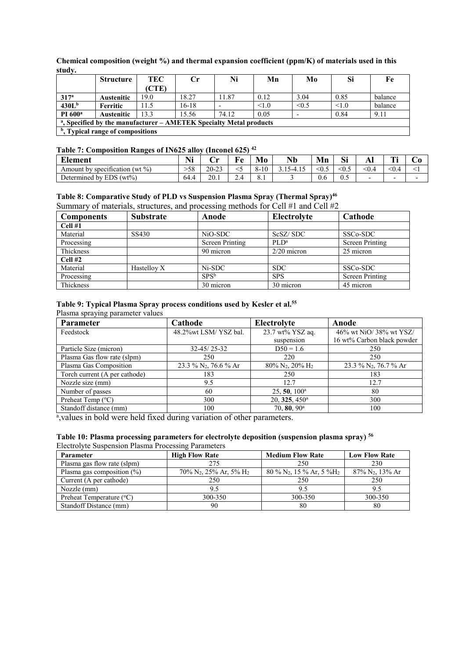**Chemical composition (weight %) and thermal expansion coefficient (ppm/K) of materials used in this study.**

|                                                                                | <b>Structure</b>  | TEC   | $C_{\Gamma}$ | Ni    | Mn   | M <sub>0</sub> | Si    | Fe      |
|--------------------------------------------------------------------------------|-------------------|-------|--------------|-------|------|----------------|-------|---------|
|                                                                                |                   | (CTE) |              |       |      |                |       |         |
| 317 <sup>a</sup>                                                               | <b>Austenitic</b> | 19.0  | 18.27        | 11.87 | 0.12 | 3.04           | 0.85  | balance |
| 430L <sup>b</sup>                                                              | Ferritic          | 11.5  | 16-18        |       | 1.0  | $\leq$ 6.5     | < 1.0 | balance |
| PI 600 <sup>a</sup>                                                            | <b>Austenitic</b> | 13.3  | 15.56        | 74.12 | 0.05 |                | 0.84  | 9.11    |
| <sup>a</sup> , Specified by the manufacturer – AMETEK Specialty Metal products |                   |       |              |       |      |                |       |         |
| <sup>b</sup> , Typical range of compositions                                   |                   |       |              |       |      |                |       |         |

# **Table 7: Composition Ranges of IN625 alloy (Inconel 625) 42**

| <b>Element</b>                                 | $\blacksquare$<br>. .⊾ | ۰.,<br>◡  | $\mathbf{F}$ $\mathbf{A}$ | Mo<br><b>C</b>                          | <b>AT</b><br>Nb | Mn                  | $\sim \cdot$<br>Sı | AП    | ran e<br>. .             | U                        |
|------------------------------------------------|------------------------|-----------|---------------------------|-----------------------------------------|-----------------|---------------------|--------------------|-------|--------------------------|--------------------------|
| $\cdot$<br>$(wt\%)$<br>Amount by specification | >58                    | $20 - 23$ |                           | $\Omega$<br>1 <sub>0</sub><br>10<br>- č | 7-4<br>—т. ⊥ Ј  | $<\!\!\!\!\!0.\!\!$ | < 0.5              | $0.4$ | < 0.4                    |                          |
| EDS (<br>$(wt\%)$<br>Determined by $\dot{\ }$  | 64.4                   | 20.1      | $\sim$<br>$-1$            | 0.1                                     |                 | U.O                 | ັບມ                |       | $\overline{\phantom{0}}$ | $\overline{\phantom{0}}$ |

#### **Table 8: Comparative Study of PLD vs Suspension Plasma Spray (Thermal Spray)46**  Summary of materials, structures, and processing methods for Cell #1 and Cell #2

| <b>Components</b> | <b>Substrate</b> | Anode                  | Electrolyte   | Cathode                |
|-------------------|------------------|------------------------|---------------|------------------------|
| Cell#1            |                  |                        |               |                        |
| Material          | SS430            | NiO-SDC                | ScSZ/SDC      | SSC <sub>o</sub> -SDC  |
| Processing        |                  | <b>Screen Printing</b> | $\rm{PLD}^a$  | <b>Screen Printing</b> |
| Thickness         |                  | 90 micron              | $2/20$ micron | 25 micron              |
| $Cell$ #2         |                  |                        |               |                        |
| Material          | Hastellov X      | Ni-SDC                 | SDC.          | SSC <sub>o</sub> -SDC  |
| Processing        |                  | $SPS^b$                | <b>SPS</b>    | Screen Printing        |
| Thickness         |                  | 30 micron              | 30 micron     | 45 micron              |

#### **Table 9: Typical Plasma Spray process conditions used by Kesler et al.55**  Plasma spraying parameter values

| <b>Parameter</b>              | Cathode                           | Electrolyte                             | Anode                             |
|-------------------------------|-----------------------------------|-----------------------------------------|-----------------------------------|
| Feedstock                     | 48.2%wt LSM/YSZ bal.              | 23.7 wt% YSZ aq.                        | 46% wt NiO/38% wt YSZ/            |
|                               |                                   | suspension                              | 16 wt% Carbon black powder        |
| Particle Size (micron)        | $32 - 45/25 - 32$                 | $D50 = 1.6$                             | 250                               |
| Plasma Gas flow rate (slpm)   | 250                               | 220                                     | 250                               |
| Plasma Gas Composition        | 23.3 % N <sub>2</sub> , 76.6 % Ar | 80% N <sub>2</sub> , 20% H <sub>2</sub> | 23.3 % N <sub>2</sub> , 76.7 % Ar |
| Torch current (A per cathode) | 183                               | 250                                     | 183                               |
| Nozzle size (mm)              | 9.5                               | 12.7                                    | 12.7                              |
| Number of passes              | 60                                | $25, 50, 100^{\circ}$                   | 80                                |
| Preheat Temp $(^{\circ}C)$    | 300                               | 20, 325, 450 <sup>a</sup>               | 300                               |
| Standoff distance (mm)        | 100                               | $70, 80, 90^{\text{a}}$                 | 100                               |

<sup>a</sup>, values in bold were held fixed during variation of other parameters.

# **Table 10: Plasma processing parameters for electrolyte deposition (suspension plasma spray) 56**

Electrolyte Suspension Plasma Processing Parameters

| Parameter                         | <b>High Flow Rate</b>                                   | <b>Medium Flow Rate</b>                            | <b>Low Flow Rate</b>           |
|-----------------------------------|---------------------------------------------------------|----------------------------------------------------|--------------------------------|
| Plasma gas flow rate (slpm)       | 275                                                     | 250                                                | 230                            |
| Plasma gas composition $(\% )$    | $70\%$ N <sub>2</sub> , $25\%$ Ar, $5\%$ H <sub>2</sub> | $80\%$ N <sub>2</sub> , 15 % Ar, 5 %H <sub>2</sub> | $87\%$ N <sub>2</sub> , 13% Ar |
| Current (A per cathode)           | 250                                                     | 250                                                | 250                            |
| Nozzle (mm)                       |                                                         | 95                                                 | 9.5                            |
| Preheat Temperature $(^{\circ}C)$ | 300-350                                                 | 300-350                                            | 300-350                        |
| Standoff Distance (mm)            | 90                                                      | 80                                                 | 80                             |